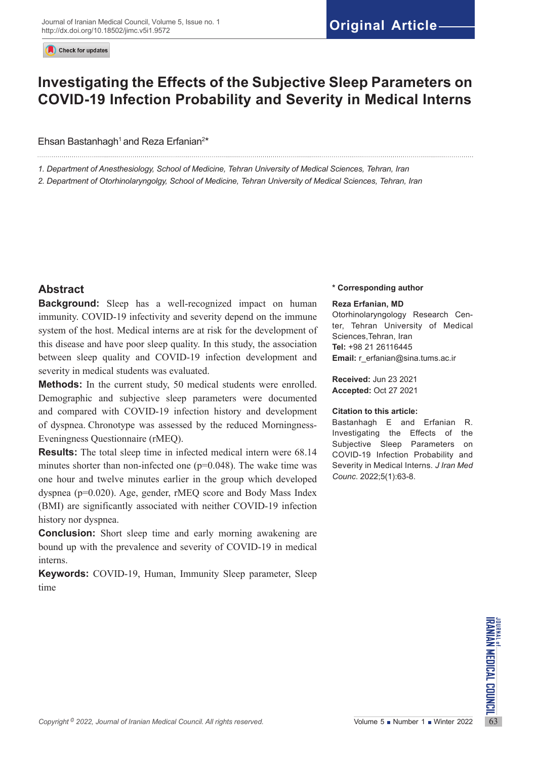Check for updates

# **Investigating the Effects of the Subjective Sleep Parameters on COVID-19 Infection Probability and Severity in Medical Interns**

## Ehsan Bastanhagh<sup>1</sup> and Reza Erfanian<sup>2\*</sup>

*1. Department of Anesthesiology, School of Medicine, Tehran University of Medical Sciences, Tehran, Iran*

*2. Department of Otorhinolaryngolgy, School of Medicine, Tehran University of Medical Sciences, Tehran, Iran*

# **Abstract**

**Background:** Sleep has a well-recognized impact on human immunity. COVID-19 infectivity and severity depend on the immune system of the host. Medical interns are at risk for the development of this disease and have poor sleep quality. In this study, the association between sleep quality and COVID-19 infection development and severity in medical students was evaluated.

**Methods:** In the current study, 50 medical students were enrolled. Demographic and subjective sleep parameters were documented and compared with COVID-19 infection history and development of dyspnea. Chronotype was assessed by the reduced Morningness-Eveningness Questionnaire (rMEQ).

**Results:** The total sleep time in infected medical intern were 68.14 minutes shorter than non-infected one  $(p=0.048)$ . The wake time was one hour and twelve minutes earlier in the group which developed dyspnea (p=0.020). Age, gender, rMEQ score and Body Mass Index (BMI) are significantly associated with neither COVID-19 infection history nor dyspnea.

**Conclusion:** Short sleep time and early morning awakening are bound up with the prevalence and severity of COVID-19 in medical interns.

**Keywords:** COVID-19, Human, Immunity Sleep parameter, Sleep time

#### **\* Corresponding author**

#### **Reza Erfanian, MD**

Otorhinolaryngology Research Center, Tehran University of Medical Sciences,Tehran, Iran **Tel:** +98 21 26116445 **Email:** [r\\_erfanian@sina.tums.ac.ir](mailto:r_erfanian@sina.tums.ac.ir)

**Received:** Jun 23 2021 **Accepted:** Oct 27 2021

#### **Citation to this article:**

Bastanhagh E and Erfanian R. Investigating the Effects of the Subjective Sleep Parameters on COVID-19 Infection Probability and Severity in Medical Interns*. J Iran Med Counc*. 2022;5(1):63-8.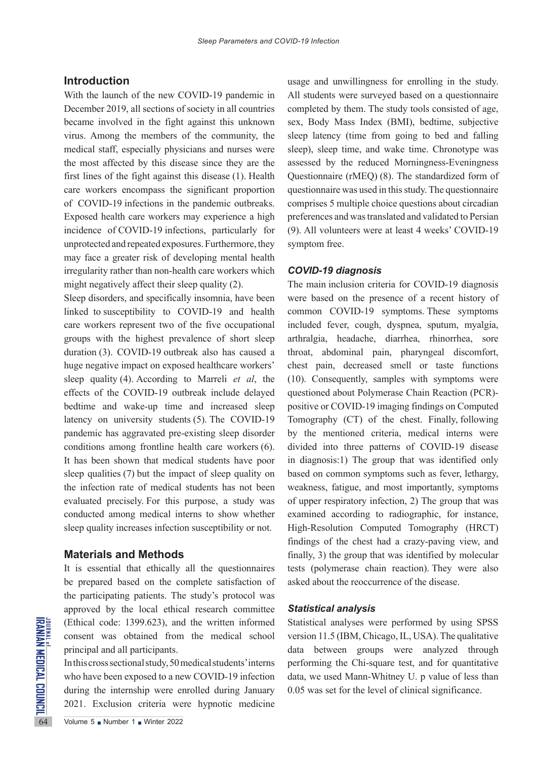## **Introduction**

With the launch of the new COVID-19 pandemic in December 2019, all sections of society in all countries became involved in the fight against this unknown virus. Among the members of the community, the medical staff, especially physicians and nurses were the most affected by this disease since they are the first lines of the fight against this disease (1). Health care workers encompass the significant proportion of COVID-19 infections in the pandemic outbreaks. Exposed health care workers may experience a high incidence of COVID-19 infections, particularly for unprotected and repeated exposures. Furthermore, they may face a greater risk of developing mental health irregularity rather than non-health care workers which might negatively affect their sleep quality (2).

Sleep disorders, and specifically insomnia, have been linked to susceptibility to COVID-19 and health care workers represent two of the five occupational groups with the highest prevalence of short sleep duration (3). COVID-19 outbreak also has caused a huge negative impact on exposed healthcare workers' sleep quality (4). According to Marreli *et al*, the effects of the COVID-19 outbreak include delayed bedtime and wake-up time and increased sleep latency on university students (5). The COVID-19 pandemic has aggravated pre-existing sleep disorder conditions among frontline health care workers (6). It has been shown that medical students have poor sleep qualities (7) but the impact of sleep quality on the infection rate of medical students has not been evaluated precisely. For this purpose, a study was conducted among medical interns to show whether sleep quality increases infection susceptibility or not.

#### **Materials and Methods**

It is essential that ethically all the questionnaires be prepared based on the complete satisfaction of the participating patients. The study's protocol was approved by the local ethical research committee (Ethical code: 1399.623), and the written informed consent was obtained from the medical school principal and all participants.

(Ethical code: 1399.623), and<br> **EXECUTE:**<br> **EXECUTE:**<br> **EXECUTE:**<br> **EXECUTE:**<br> **EXECUTE:**<br> **EXECUTE:**<br> **EXECUTE:**<br> **EXECUTE:**<br> **EXECUTE:**<br> **EXECUTE:**<br> **EXECUTE:**<br> **EXECUTE:**<br> **EXECUTE:**<br> **EXECUTE:**<br> **EXECUTE:**<br> **EXECUTE:**<br> In this cross sectional study, 50 medical students' interns who have been exposed to a new COVID-19 infection during the internship were enrolled during January 2021. Exclusion criteria were hypnotic medicine

usage and unwillingness for enrolling in the study. All students were surveyed based on a questionnaire completed by them. The study tools consisted of age, sex, Body Mass Index (BMI), bedtime, subjective sleep latency (time from going to bed and falling sleep), sleep time, and wake time. Chronotype was assessed by the reduced Morningness-Eveningness Questionnaire (rMEQ) (8). The standardized form of questionnaire was used in this study. The questionnaire comprises 5 multiple choice questions about circadian preferences and was translated and validated to Persian (9). All volunteers were at least 4 weeks' COVID-19 symptom free.

#### *COVID-19 diagnosis*

The main inclusion criteria for COVID-19 diagnosis were based on the presence of a recent history of common COVID-19 symptoms. These symptoms included fever, cough, dyspnea, sputum, myalgia, arthralgia, headache, diarrhea, rhinorrhea, sore throat, abdominal pain, pharyngeal discomfort, chest pain, decreased smell or taste functions (10). Consequently, samples with symptoms were questioned about Polymerase Chain Reaction (PCR) positive or COVID-19 imaging findings on Computed Tomography (CT) of the chest. Finally, following by the mentioned criteria, medical interns were divided into three patterns of COVID-19 disease in diagnosis:1) The group that was identified only based on common symptoms such as fever, lethargy, weakness, fatigue, and most importantly, symptoms of upper respiratory infection, 2) The group that was examined according to radiographic, for instance, High-Resolution Computed Tomography (HRCT) findings of the chest had a crazy-paving view, and finally, 3) the group that was identified by molecular tests (polymerase chain reaction). They were also asked about the reoccurrence of the disease.

#### *Statistical analysis*

Statistical analyses were performed by using SPSS version 11.5 (IBM, Chicago, IL, USA). The qualitative data between groups were analyzed through performing the Chi-square test, and for quantitative data, we used Mann-Whitney U. p value of less than 0.05 was set for the level of clinical significance.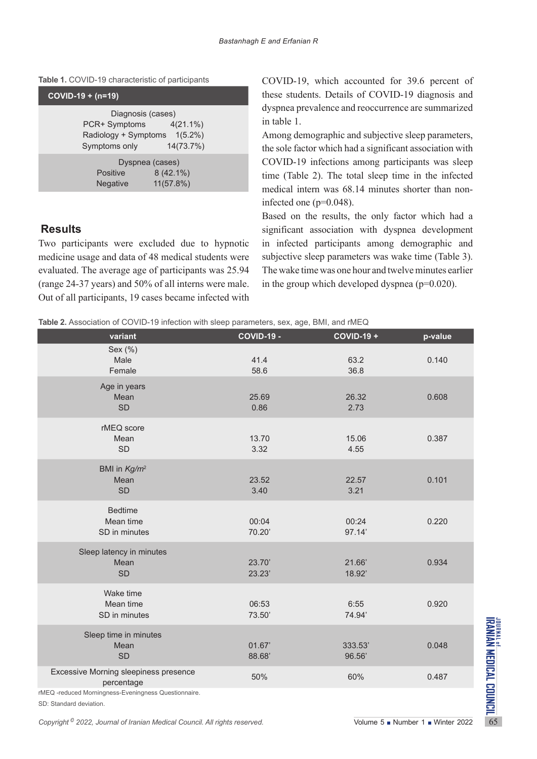|  |  | Table 1. COVID-19 characteristic of participants |  |  |
|--|--|--------------------------------------------------|--|--|
|--|--|--------------------------------------------------|--|--|

| $COV$ ID-19 + (n=19)                                                                                      |  |
|-----------------------------------------------------------------------------------------------------------|--|
| Diagnosis (cases)<br>PCR+ Symptoms 4(21.1%)<br>Radiology + Symptoms 1(5.2%)<br>14(73.7%)<br>Symptoms only |  |
| Dyspnea (cases)<br>$8(42.1\%)$<br><b>Positive</b><br>11(57.8%)<br>Negative                                |  |

# **Results**

Two participants were excluded due to hypnotic medicine usage and data of 48 medical students were evaluated. The average age of participants was 25.94 (range 24-37 years) and 50% of all interns were male. Out of all participants, 19 cases became infected with COVID-19, which accounted for 39.6 percent of these students. Details of COVID-19 diagnosis and dyspnea prevalence and reoccurrence are summarized in table 1.

Among demographic and subjective sleep parameters, the sole factor which had a significant association with COVID-19 infections among participants was sleep time (Table 2). The total sleep time in the infected medical intern was 68.14 minutes shorter than noninfected one (p=0.048).

Based on the results, the only factor which had a significant association with dyspnea development in infected participants among demographic and subjective sleep parameters was wake time (Table 3). The wake time was one hour and twelve minutes earlier in the group which developed dyspnea (p=0.020).

|  |  |  | Table 2. Association of COVID-19 infection with sleep parameters, sex, age, BMI, and rMEQ |  |  |
|--|--|--|-------------------------------------------------------------------------------------------|--|--|
|  |  |  |                                                                                           |  |  |

|                                                                                                                                        | id infoducir mur clock parameters, cox, ago, Dim, and mu |                               |         |
|----------------------------------------------------------------------------------------------------------------------------------------|----------------------------------------------------------|-------------------------------|---------|
| variant                                                                                                                                | <b>COVID-19 -</b>                                        | <b>COVID-19 +</b>             | p-value |
| Sex (%)<br>Male<br>Female                                                                                                              | 41.4<br>58.6                                             | 63.2<br>36.8                  | 0.140   |
| Age in years<br>Mean<br><b>SD</b>                                                                                                      | 25.69<br>0.86                                            | 26.32<br>2.73                 | 0.608   |
| rMEQ score<br>Mean<br>SD                                                                                                               | 13.70<br>3.32                                            | 15.06<br>4.55                 | 0.387   |
| BMI in Kg/m <sup>2</sup><br>Mean<br><b>SD</b>                                                                                          | 23.52<br>3.40                                            | 22.57<br>3.21                 | 0.101   |
| <b>Bedtime</b><br>Mean time<br>SD in minutes                                                                                           | 00:04<br>70.20'                                          | 00:24<br>97.14'               | 0.220   |
| Sleep latency in minutes<br>Mean<br>SD                                                                                                 | 23.70'<br>23.23'                                         | 21.66'<br>18.92'              | 0.934   |
| Wake time<br>Mean time<br>SD in minutes                                                                                                | 06:53<br>73.50                                           | 6:55<br>74.94'                | 0.920   |
| Sleep time in minutes<br>Mean<br><b>SD</b>                                                                                             | 01.67'<br>88.68'                                         | 333.53'<br>96.56'             | 0.048   |
| Excessive Morning sleepiness presence<br>percentage<br>rMEQ -reduced Morningness-Eveningness Questionnaire.<br>SD: Standard deviation. | 50%                                                      | 60%                           | 0.487   |
| Copyright <sup>©</sup> 2022, Journal of Iranian Medical Council. All rights reserved.                                                  |                                                          | Volume 5 Number 1 Winter 2022 |         |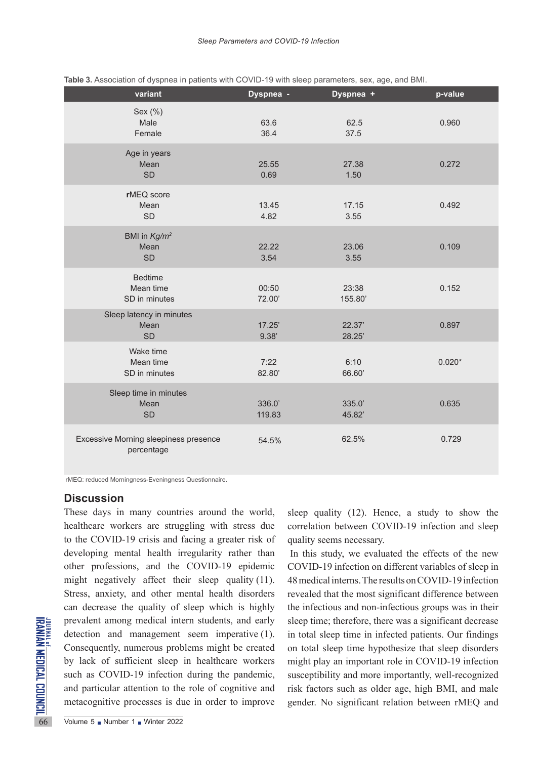| variant                                             | Dyspnea -        | Dyspnea +        | p-value  |
|-----------------------------------------------------|------------------|------------------|----------|
| Sex (%)<br>Male<br>Female                           | 63.6<br>36.4     | 62.5<br>37.5     | 0.960    |
| Age in years<br>Mean<br><b>SD</b>                   | 25.55<br>0.69    | 27.38<br>1.50    | 0.272    |
| rMEQ score<br>Mean<br><b>SD</b>                     | 13.45<br>4.82    | 17.15<br>3.55    | 0.492    |
| BMI in Kg/m <sup>2</sup><br>Mean<br><b>SD</b>       | 22.22<br>3.54    | 23.06<br>3.55    | 0.109    |
| <b>Bedtime</b><br>Mean time<br>SD in minutes        | 00:50<br>72.00'  | 23:38<br>155.80  | 0.152    |
| Sleep latency in minutes<br>Mean<br><b>SD</b>       | 17.25'<br>9.38'  | 22.37'<br>28.25' | 0.897    |
| Wake time<br>Mean time<br>SD in minutes             | 7:22<br>82.80'   | 6:10<br>66.60    | $0.020*$ |
| Sleep time in minutes<br>Mean<br><b>SD</b>          | 336.0'<br>119.83 | 335.0<br>45.82'  | 0.635    |
| Excessive Morning sleepiness presence<br>percentage | 54.5%            | 62.5%            | 0.729    |

|  |  |  |  |  | Table 3. Association of dyspnea in patients with COVID-19 with sleep parameters, sex, age, and BMI. |
|--|--|--|--|--|-----------------------------------------------------------------------------------------------------|
|--|--|--|--|--|-----------------------------------------------------------------------------------------------------|

rMEQ: reduced Morningness-Eveningness Questionnaire.

## **Discussion**

FOREXT PRESERVIES<br>
SERVICE THE CONSEQUENTLY, numerous prob<br>
by lack of sufficient sleep<br>
such as COVID-19 infection<br>
and particular attention to the<br>
metacognitive processes is due<br>
volume 5 Number 1 Number 2022 These days in many countries around the world, healthcare workers are struggling with stress due to the COVID-19 crisis and facing a greater risk of developing mental health irregularity rather than other professions, and the COVID-19 epidemic might negatively affect their sleep quality (11). Stress, anxiety, and other mental health disorders can decrease the quality of sleep which is highly prevalent among medical intern students, and early detection and management seem imperative (1). Consequently, numerous problems might be created by lack of sufficient sleep in healthcare workers such as COVID-19 infection during the pandemic, and particular attention to the role of cognitive and metacognitive processes is due in order to improve

sleep quality (12). Hence, a study to show the correlation between COVID-19 infection and sleep quality seems necessary.

In this study, we evaluated the effects of the new COVID-19 infection on different variables of sleep in 48 medical interns. The results on COVID-19 infection revealed that the most significant difference between the infectious and non-infectious groups was in their sleep time; therefore, there was a significant decrease in total sleep time in infected patients. Our findings on total sleep time hypothesize that sleep disorders might play an important role in COVID-19 infection susceptibility and more importantly, well-recognized risk factors such as older age, high BMI, and male gender. No significant relation between rMEQ and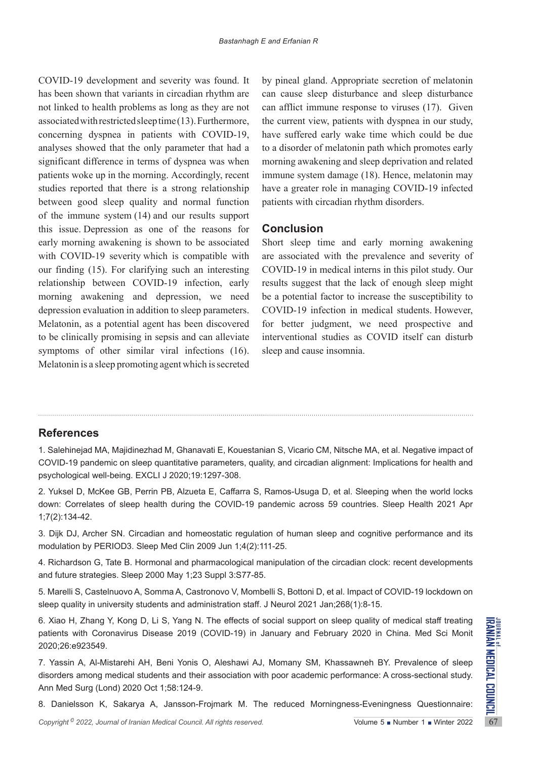COVID-19 development and severity was found. It has been shown that variants in circadian rhythm are not linked to health problems as long as they are not associated with restricted sleep time (13). Furthermore, concerning dyspnea in patients with COVID-19, analyses showed that the only parameter that had a significant difference in terms of dyspnea was when patients woke up in the morning. Accordingly, recent studies reported that there is a strong relationship between good sleep quality and normal function of the immune system (14) and our results support this issue. Depression as one of the reasons for early morning awakening is shown to be associated with COVID-19 severity which is compatible with our finding (15). For clarifying such an interesting relationship between COVID-19 infection, early morning awakening and depression, we need depression evaluation in addition to sleep parameters. Melatonin, as a potential agent has been discovered to be clinically promising in sepsis and can alleviate symptoms of other similar viral infections (16). Melatonin is a sleep promoting agent which is secreted by pineal gland. Appropriate secretion of melatonin can cause sleep disturbance and sleep disturbance can afflict immune response to viruses (17). Given the current view, patients with dyspnea in our study, have suffered early wake time which could be due to a disorder of melatonin path which promotes early morning awakening and sleep deprivation and related immune system damage (18). Hence, melatonin may have a greater role in managing COVID-19 infected patients with circadian rhythm disorders.

# **Conclusion**

Short sleep time and early morning awakening are associated with the prevalence and severity of COVID-19 in medical interns in this pilot study. Our results suggest that the lack of enough sleep might be a potential factor to increase the susceptibility to COVID-19 infection in medical students. However, for better judgment, we need prospective and interventional studies as COVID itself can disturb sleep and cause insomnia.

# **References**

1. Salehinejad MA, Majidinezhad M, Ghanavati E, Kouestanian S, Vicario CM, Nitsche MA, et al. Negative impact of COVID-19 pandemic on sleep quantitative parameters, quality, and circadian alignment: Implications for health and psychological well-being. EXCLI J 2020;19:1297-308.

2. Yuksel D, McKee GB, Perrin PB, Alzueta E, Caffarra S, Ramos-Usuga D, et al. Sleeping when the world locks down: Correlates of sleep health during the COVID-19 pandemic across 59 countries. Sleep Health 2021 Apr 1;7(2):134-42.

3. Dijk DJ, Archer SN. Circadian and homeostatic regulation of human sleep and cognitive performance and its modulation by PERIOD3. Sleep Med Clin 2009 Jun 1;4(2):111-25.

4. Richardson G, Tate B. Hormonal and pharmacological manipulation of the circadian clock: recent developments and future strategies. Sleep 2000 May 1;23 Suppl 3:S77-85.

5. Marelli S, Castelnuovo A, Somma A, Castronovo V, Mombelli S, Bottoni D, et al. Impact of COVID-19 lockdown on sleep quality in university students and administration staff. J Neurol 2021 Jan;268(1):8-15.

6. Xiao H, Zhang Y, Kong D, Li S, Yang N. The effects of social support on sleep quality of medical staff treating patients with Coronavirus Disease 2019 (COVID-19) in January and February 2020 in China. Med Sci Monit 2020;26:e923549.

*Copyright* <sup>©</sup> 2022, *Journal of Iranian Medical Council. All rights reserved.<br>
Copyright <sup>6</sup> 2022, <i>Dounal of Iranian Medical Council. All rights reserved.*<br>
2020;26:e923549.<br> **Copyright <sup>©</sup> 2022,** *Dounal of Iranian Med* 7. Yassin A, Al-Mistarehi AH, Beni Yonis O, Aleshawi AJ, Momany SM, Khassawneh BY. Prevalence of sleep disorders among medical students and their association with poor academic performance: A cross-sectional study. Ann Med Surg (Lond) 2020 Oct 1;58:124-9.

8. Danielsson K, Sakarya A, Jansson-Frojmark M. The reduced Morningness-Eveningness Questionnaire: